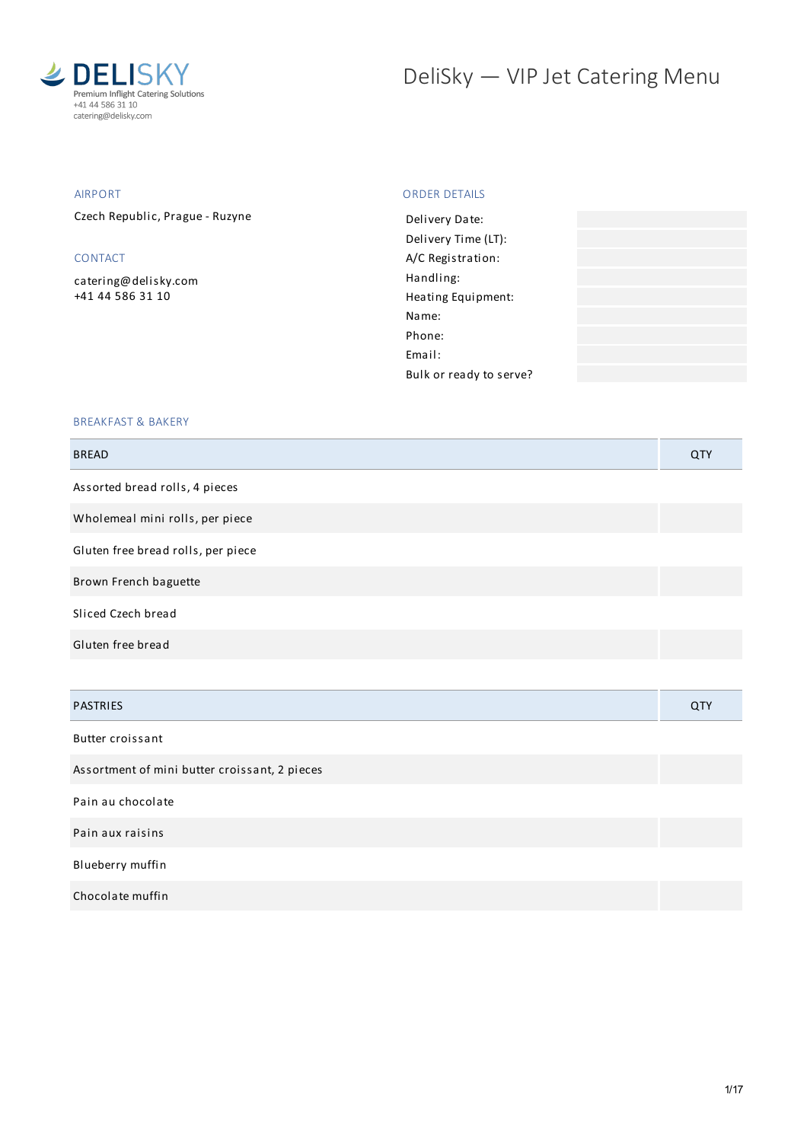

# DeliSky - VIP Jet Catering Menu

## AIRPORT

Czech Republic, Prague - Ruzyne

## CONTACT

[catering@delisky.com](mailto:catering@delisky.com) +41 44 586 31 10

## ORDER DETAILS

### BREAKFAST & BAKERY

| <b>BREAD</b>                       | QTY                   |
|------------------------------------|-----------------------|
| Assorted bread rolls, 4 pieces     |                       |
| Wholemeal mini rolls, per piece    |                       |
| Gluten free bread rolls, per piece |                       |
| Brown French baguette              |                       |
| Sliced Czech bread                 |                       |
| Gluten free bread                  |                       |
|                                    |                       |
| . <del>.</del>                     | $\sim$ $\sim$ $\cdot$ |

| <b>PASTRIES</b>                               | <b>QTY</b> |
|-----------------------------------------------|------------|
| Butter croissant                              |            |
| Assortment of mini butter croissant, 2 pieces |            |

Pain au chocolate

Pain aux raisins

Blueberry muffin

Chocolate muffin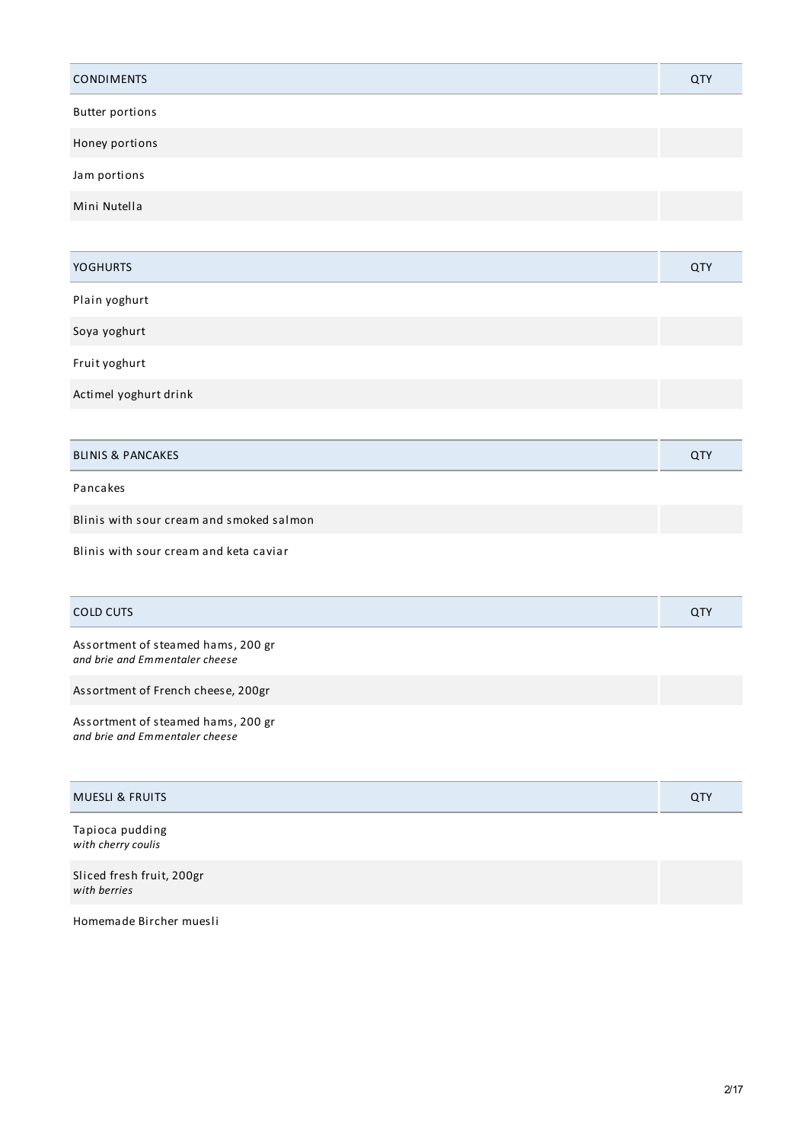| <b>CONDIMENTS</b>                                                    | <b>QTY</b> |
|----------------------------------------------------------------------|------------|
| <b>Butter portions</b>                                               |            |
| Honey portions                                                       |            |
| Jam portions                                                         |            |
| Mini Nutella                                                         |            |
|                                                                      |            |
| <b>YOGHURTS</b>                                                      | QTY        |
| Plain yoghurt                                                        |            |
| Soya yoghurt                                                         |            |
| Fruit yoghurt                                                        |            |
| Actimel yoghurt drink                                                |            |
|                                                                      |            |
| <b>BLINIS &amp; PANCAKES</b>                                         | QTY        |
| Pancakes                                                             |            |
| Blinis with sour cream and smoked salmon                             |            |
| Blinis with sour cream and keta caviar                               |            |
| <b>COLD CUTS</b>                                                     | QTY        |
| Assortment of steamed hams, 200 gr<br>and brie and Emmentaler cheese |            |
| Assortment of French cheese, 200gr                                   |            |
| Assortment of steamed hams, 200 gr<br>and brie and Emmentaler cheese |            |
| <b>MUESLI &amp; FRUITS</b>                                           | QTY        |
| Tapioca pudding<br>with cherry coulis                                |            |
| Sliced fresh fruit, 200gr<br>with berries                            |            |

Homemade Bircher muesli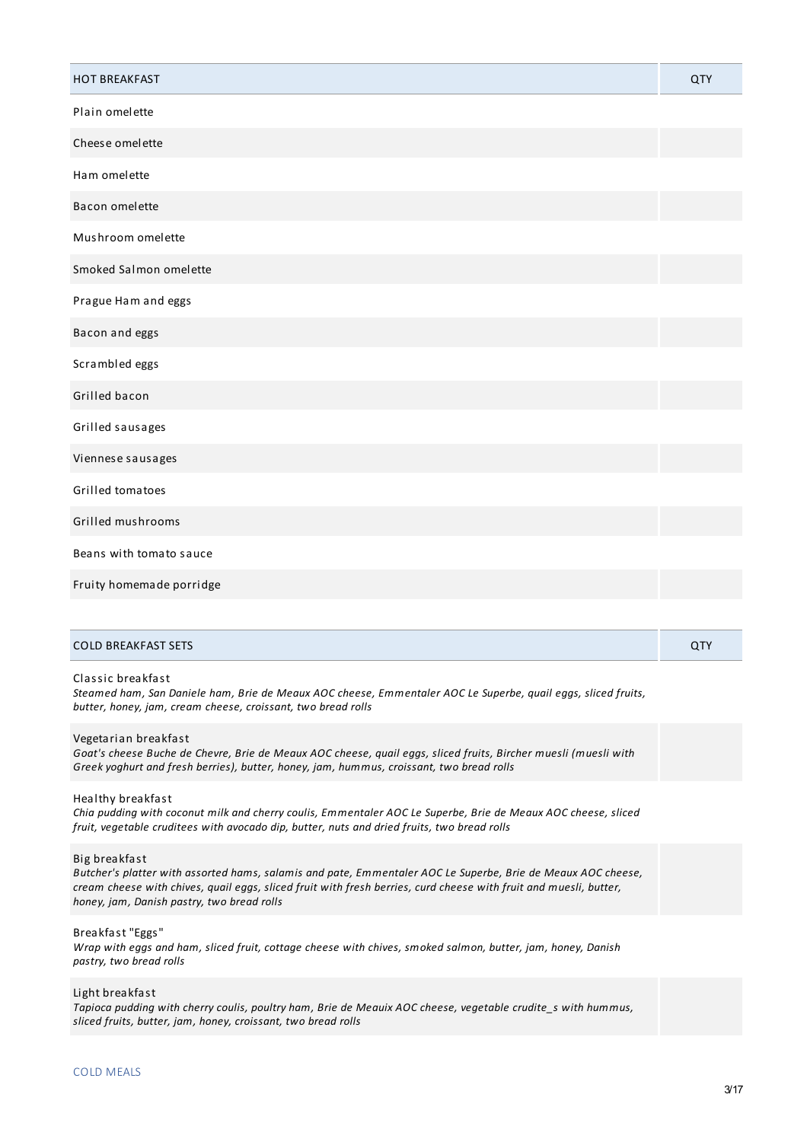| <b>HOT BREAKFAST</b>     | <b>QTY</b> |
|--------------------------|------------|
| Plain omelette           |            |
| Cheese omelette          |            |
| Ham omelette             |            |
| Bacon omelette           |            |
| Mushroom omelette        |            |
| Smoked Salmon omelette   |            |
| Prague Ham and eggs      |            |
| Bacon and eggs           |            |
| Scrambled eggs           |            |
| Grilled bacon            |            |
| Grilled sausages         |            |
| Viennese sausages        |            |
| Grilled tomatoes         |            |
| Grilled mushrooms        |            |
| Beans with tomato sauce  |            |
| Fruity homemade porridge |            |

#### Classic breakfast

Steamed ham, San Daniele ham, Brie de Meaux AOC cheese, Emmentaler AOC Le Superbe, quail eggs, sliced fruits, *butter, honey, jam, cream cheese, croissant, two bread rolls*

#### Vegetarian breakfast

Goat's cheese Buche de Chevre, Brie de Meaux AOC cheese, quail eggs, sliced fruits, Bircher muesli (muesli with *Greek yoghurt and fresh berries), butter, honey, jam, hummus, croissant, two bread rolls*

#### Healthy breakfast

Chia pudding with coconut milk and cherry coulis, Emmentaler AOC Le Superbe, Brie de Meaux AOC cheese, sliced *fruit, vegetable cruditees with avocado dip, butter, nuts and dried fruits, two bread rolls*

#### Big breakfast

Butcher's platter with assorted hams, salamis and pate, Emmentaler AOC Le Superbe, Brie de Meaux AOC cheese, cream cheese with chives, quail eggs, sliced fruit with fresh berries, curd cheese with fruit and muesli, butter, *honey, jam, Danish pastry, two bread rolls*

#### Breakfast "Eggs"

Wrap with eggs and ham, sliced fruit, cottage cheese with chives, smoked salmon, butter, jam, honey, Danish *pastry, two bread rolls*

#### Light breakfast

*Tapioca pudding with cherry coulis, poultry ham, Brie de Meauix AOC cheese, vegetable crudite\_s with hummus, sliced fruits, butter, jam, honey, croissant, two bread rolls*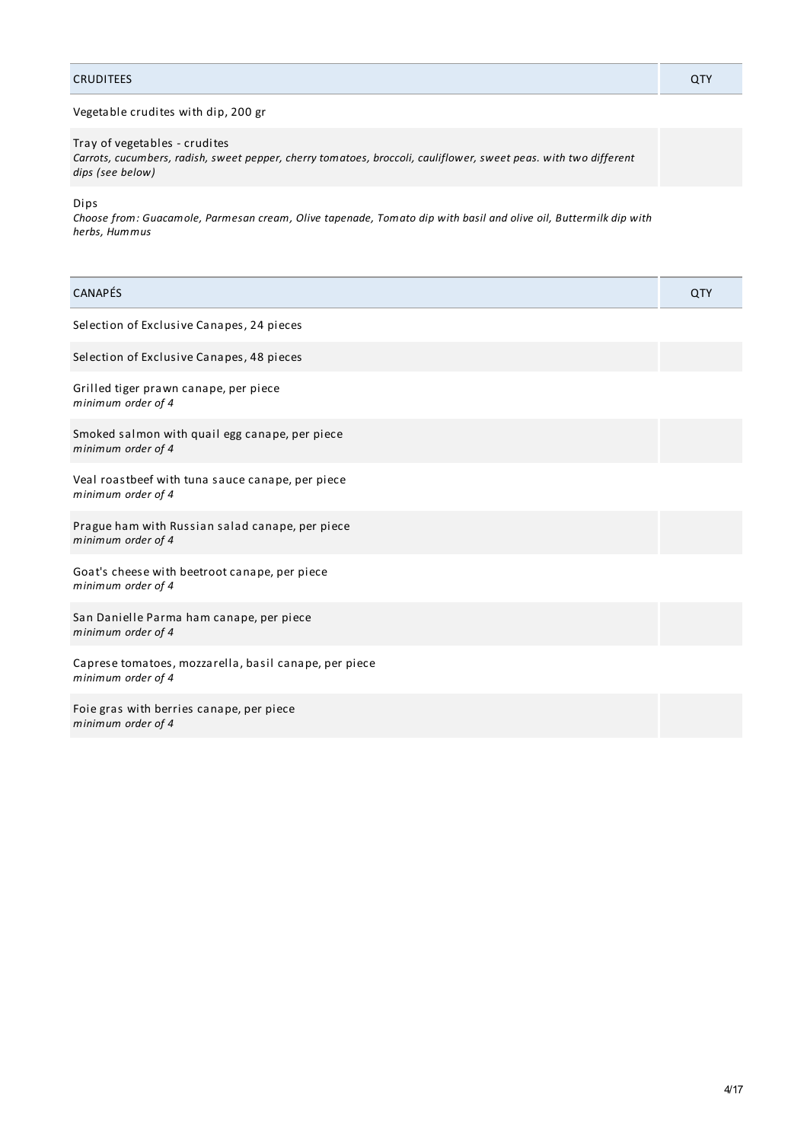## CRUDITEES QTY

## Vegetable crudites with dip, 200 gr

Tray of vegetables - crudites *Carrots, cucumbers, radish, sweet pepper, cherry tomatoes, broccoli, cauliflower, sweet peas. with two different dips (see below)*

Dips

Choose from: Guacamole, Parmesan cream, Olive tapenade, Tomato dip with basil and olive oil, Buttermilk dip with *herbs, Hummus*

| CANAPÉS                                                                     | QTY |
|-----------------------------------------------------------------------------|-----|
| Selection of Exclusive Canapes, 24 pieces                                   |     |
| Selection of Exclusive Canapes, 48 pieces                                   |     |
| Grilled tiger prawn canape, per piece<br>minimum order of 4                 |     |
| Smoked salmon with quail egg canape, per piece<br>minimum order of 4        |     |
| Veal roastbeef with tuna sauce canape, per piece<br>minimum order of 4      |     |
| Prague ham with Russian salad canape, per piece<br>minimum order of 4       |     |
| Goat's cheese with beetroot canape, per piece<br>minimum order of 4         |     |
| San Danielle Parma ham canape, per piece<br>minimum order of 4              |     |
| Caprese tomatoes, mozzarella, basil canape, per piece<br>minimum order of 4 |     |
| Foie gras with berries canape, per piece<br>minimum order of 4              |     |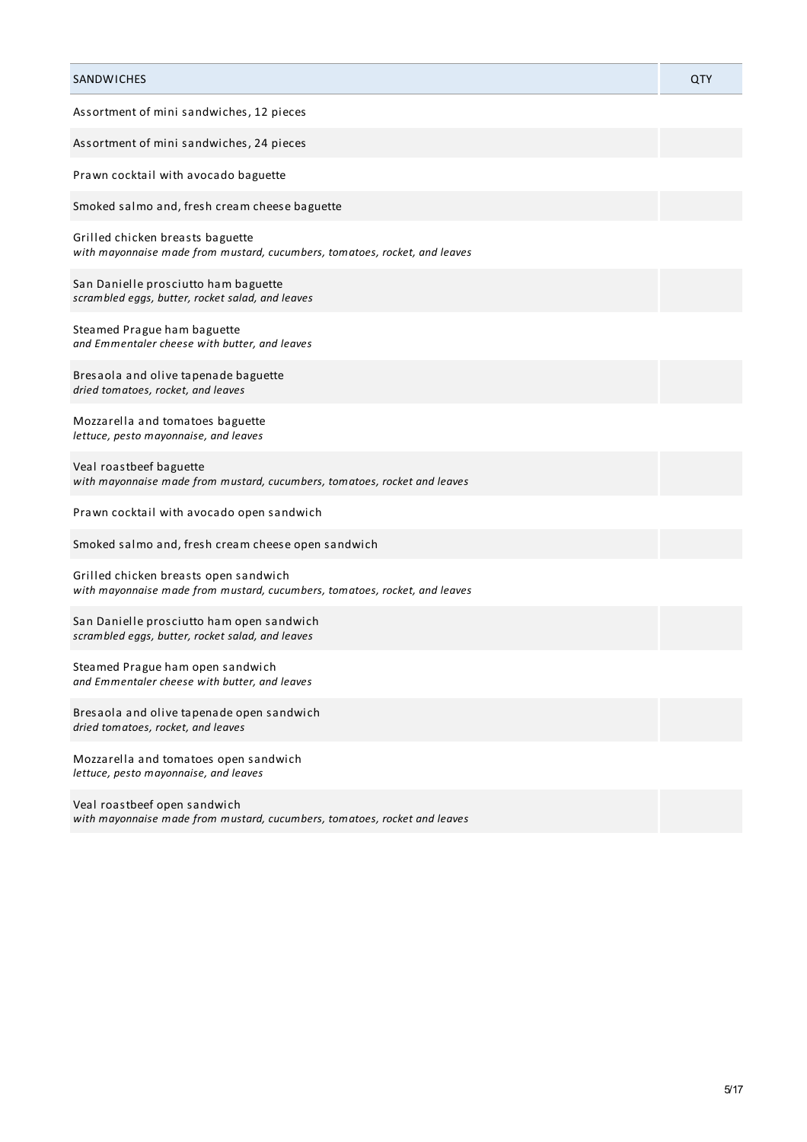| SANDWICHES                                                                                                          | QTY |
|---------------------------------------------------------------------------------------------------------------------|-----|
| Assortment of mini sandwiches, 12 pieces                                                                            |     |
| Assortment of mini sandwiches, 24 pieces                                                                            |     |
| Prawn cocktail with avocado baguette                                                                                |     |
| Smoked salmo and, fresh cream cheese baguette                                                                       |     |
| Grilled chicken breasts baguette<br>with mayonnaise made from mustard, cucumbers, tomatoes, rocket, and leaves      |     |
| San Danielle prosciutto ham baguette<br>scrambled eggs, butter, rocket salad, and leaves                            |     |
| Steamed Prague ham baguette<br>and Emmentaler cheese with butter, and leaves                                        |     |
| Bresaola and olive tapenade baguette<br>dried tomatoes, rocket, and leaves                                          |     |
| Mozzarella and tomatoes baguette<br>lettuce, pesto mayonnaise, and leaves                                           |     |
| Veal roastbeef baguette<br>with mayonnaise made from mustard, cucumbers, tomatoes, rocket and leaves                |     |
| Prawn cocktail with avocado open sandwich                                                                           |     |
| Smoked salmo and, fresh cream cheese open sandwich                                                                  |     |
| Grilled chicken breasts open sandwich<br>with mayonnaise made from mustard, cucumbers, tomatoes, rocket, and leaves |     |
| San Danielle prosciutto ham open sandwich<br>scrambled eggs, butter, rocket salad, and leaves                       |     |
| Steamed Prague ham open sandwich<br>and Emmentaler cheese with butter, and leaves                                   |     |
| Bresaola and olive tapenade open sandwich<br>dried tomatoes, rocket, and leaves                                     |     |
| Mozzarella and tomatoes open sandwich<br>lettuce, pesto mayonnaise, and leaves                                      |     |
| Veal roastbeef open sandwich<br>with mayonnaise made from mustard, cucumbers, tomatoes, rocket and leaves           |     |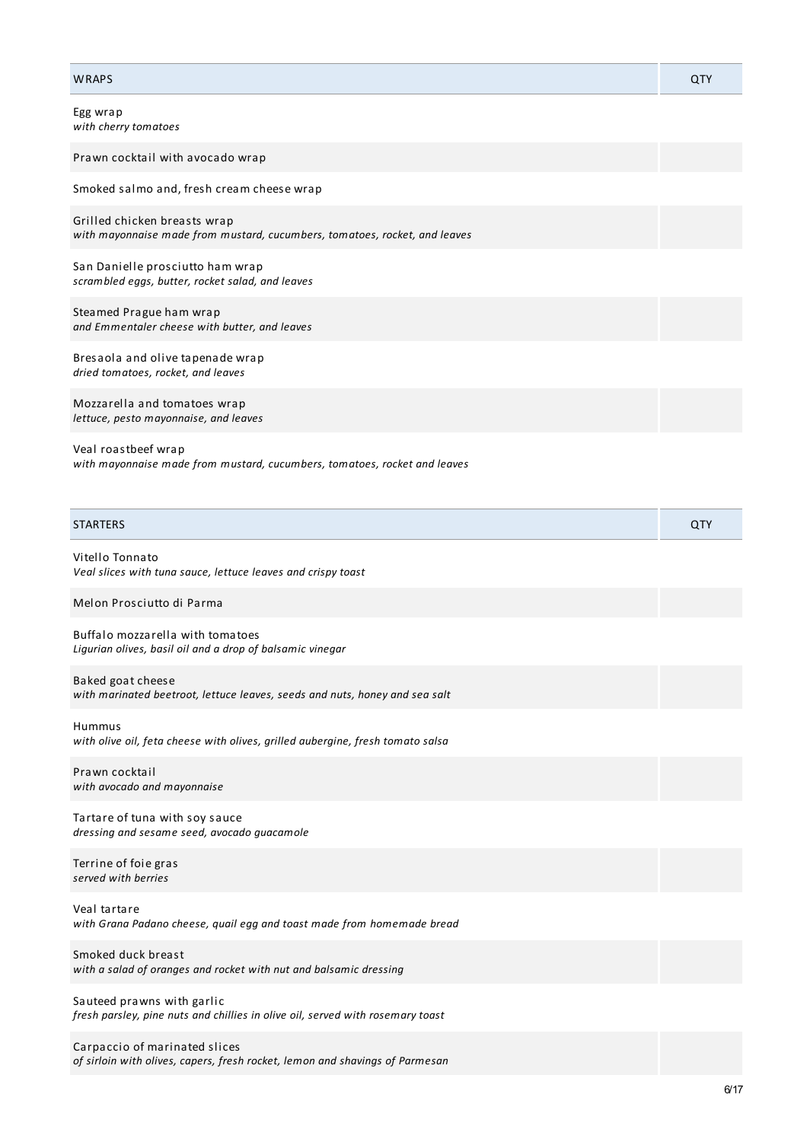| <b>WRAPS</b>                                                                                                  | QTY |
|---------------------------------------------------------------------------------------------------------------|-----|
| Egg wrap<br>with cherry tomatoes                                                                              |     |
| Prawn cocktail with avocado wrap                                                                              |     |
| Smoked salmo and, fresh cream cheese wrap                                                                     |     |
| Grilled chicken breasts wrap<br>with mayonnaise made from mustard, cucumbers, tomatoes, rocket, and leaves    |     |
| San Danielle prosciutto ham wrap<br>scrambled eggs, butter, rocket salad, and leaves                          |     |
| Steamed Prague ham wrap<br>and Emmentaler cheese with butter, and leaves                                      |     |
| Bresaola and olive tapenade wrap<br>dried tomatoes, rocket, and leaves                                        |     |
| Mozzarella and tomatoes wrap<br>lettuce, pesto mayonnaise, and leaves                                         |     |
| Veal roastbeef wrap<br>with mayonnaise made from mustard, cucumbers, tomatoes, rocket and leaves              |     |
| <b>STARTERS</b>                                                                                               | QTY |
| Vitello Tonnato<br>Veal slices with tuna sauce, lettuce leaves and crispy toast                               |     |
| Melon Prosciutto di Parma                                                                                     |     |
| Buffalo mozzarella with tomatoes<br>Ligurian olives, basil oil and a drop of balsamic vinegar                 |     |
| Baked goat cheese<br>with marinated beetroot, lettuce leaves, seeds and nuts, honey and sea salt              |     |
| Hummus<br>with olive oil, feta cheese with olives, grilled aubergine, fresh tomato salsa                      |     |
| Prawn cocktail<br>with avocado and mayonnaise                                                                 |     |
| Tartare of tuna with soy sauce<br>dressing and sesame seed, avocado guacamole                                 |     |
| Terrine of foie gras<br>served with berries                                                                   |     |
| Veal tartare<br>with Grana Padano cheese, quail egg and toast made from homemade bread                        |     |
| Smoked duck breast<br>with a salad of oranges and rocket with nut and balsamic dressing                       |     |
| Sauteed prawns with garlic<br>fresh parsley, pine nuts and chillies in olive oil, served with rosemary toast  |     |
| Carpaccio of marinated slices<br>of sirloin with olives, capers, fresh rocket, lemon and shavings of Parmesan |     |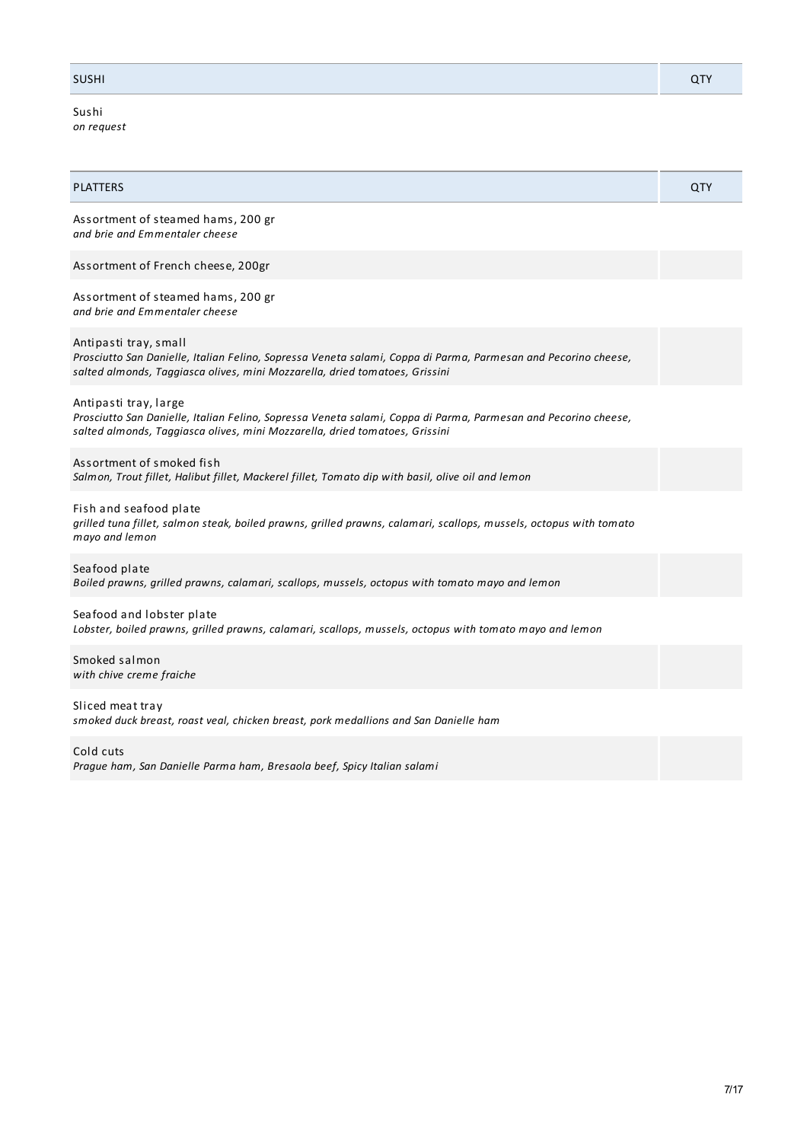## SUSHI QTY

Sushi *on request*

| <b>PLATTERS</b>                                                                                                                                                                                                        | QTY |
|------------------------------------------------------------------------------------------------------------------------------------------------------------------------------------------------------------------------|-----|
| Assortment of steamed hams, 200 gr<br>and brie and Emmentaler cheese                                                                                                                                                   |     |
| Assortment of French cheese, 200gr                                                                                                                                                                                     |     |
| Assortment of steamed hams, 200 gr<br>and brie and Emmentaler cheese                                                                                                                                                   |     |
| Antipasti tray, small<br>Prosciutto San Danielle, Italian Felino, Sopressa Veneta salami, Coppa di Parma, Parmesan and Pecorino cheese,<br>salted almonds, Taggiasca olives, mini Mozzarella, dried tomatoes, Grissini |     |
| Antipasti tray, large<br>Prosciutto San Danielle, Italian Felino, Sopressa Veneta salami, Coppa di Parma, Parmesan and Pecorino cheese,<br>salted almonds, Taggiasca olives, mini Mozzarella, dried tomatoes, Grissini |     |
| Assortment of smoked fish<br>Salmon, Trout fillet, Halibut fillet, Mackerel fillet, Tomato dip with basil, olive oil and lemon                                                                                         |     |
| Fish and seafood plate<br>grilled tuna fillet, salmon steak, boiled prawns, grilled prawns, calamari, scallops, mussels, octopus with tomato<br>mayo and lemon                                                         |     |
| Seafood plate<br>Boiled prawns, grilled prawns, calamari, scallops, mussels, octopus with tomato mayo and lemon                                                                                                        |     |
| Seafood and lobster plate<br>Lobster, boiled prawns, grilled prawns, calamari, scallops, mussels, octopus with tomato mayo and lemon                                                                                   |     |
| Smoked salmon<br>with chive creme fraiche                                                                                                                                                                              |     |
| Sliced meat tray<br>smoked duck breast, roast veal, chicken breast, pork medallions and San Danielle ham                                                                                                               |     |
| Cold cuts                                                                                                                                                                                                              |     |

*Prague ham, San Danielle Parma ham, Bresaola beef, Spicy Italian salami*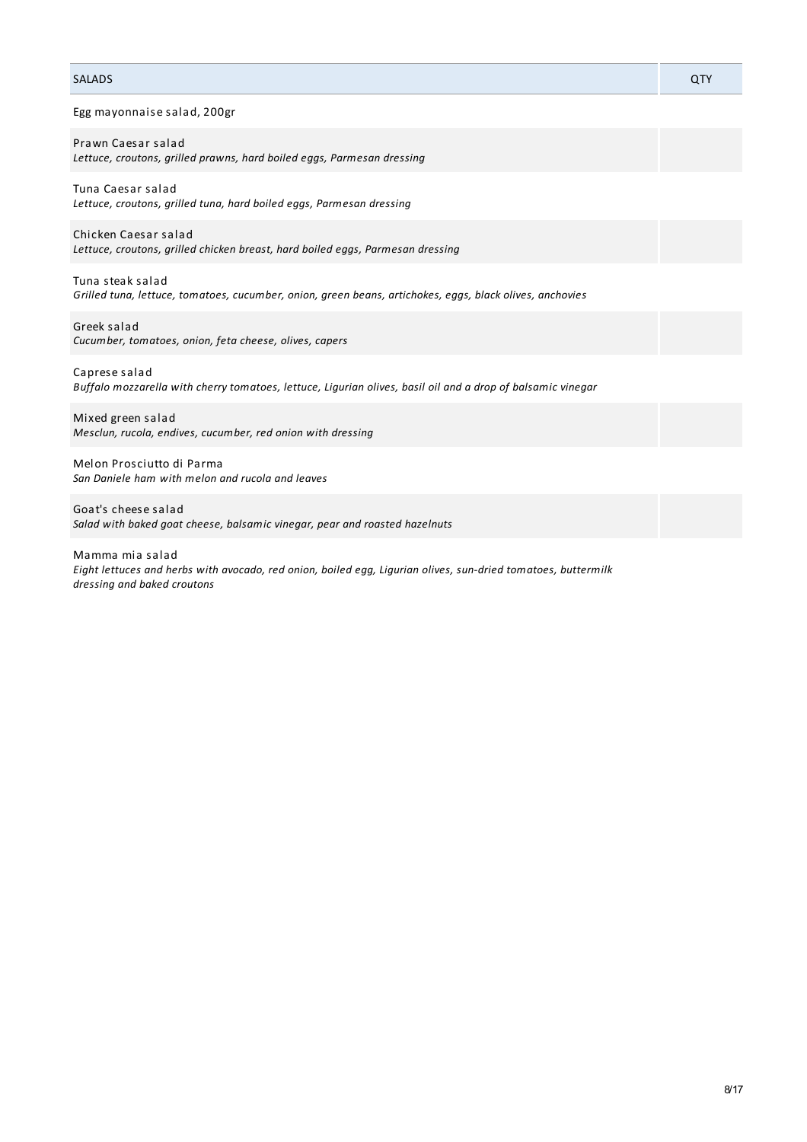## SALADS QTY

Egg mayonnaise salad, 200gr

*Lettuce, croutons, grilled prawns, hard boiled eggs, Parmesan dressing*

#### Tuna Caesar salad

*Lettuce, croutons, grilled tuna, hard boiled eggs, Parmesan dressing*

Chicken Caesar salad *Lettuce, croutons, grilled chicken breast, hard boiled eggs, Parmesan dressing*

Tuna steak salad *Grilled tuna, lettuce, tomatoes, cucumber, onion, green beans, artichokes, eggs, black olives, anchovies*

Greek salad *Cucumber, tomatoes, onion, feta cheese, olives, capers*

Caprese salad *Buffalo mozzarella with cherry tomatoes, lettuce, Ligurian olives, basil oil and a drop of balsamic vinegar*

Mixed green salad *Mesclun, rucola, endives, cucumber, red onion with dressing*

Melon Prosciutto di Parma *San Daniele ham with melon and rucola and leaves*

Goat's cheese salad *Salad with baked goat cheese, balsamic vinegar, pear and roasted hazelnuts*

Mamma mia salad *Eight lettuces and herbs with avocado, red onion, boiled egg, Ligurian olives, sun-dried tomatoes, buttermilk dressing and baked croutons*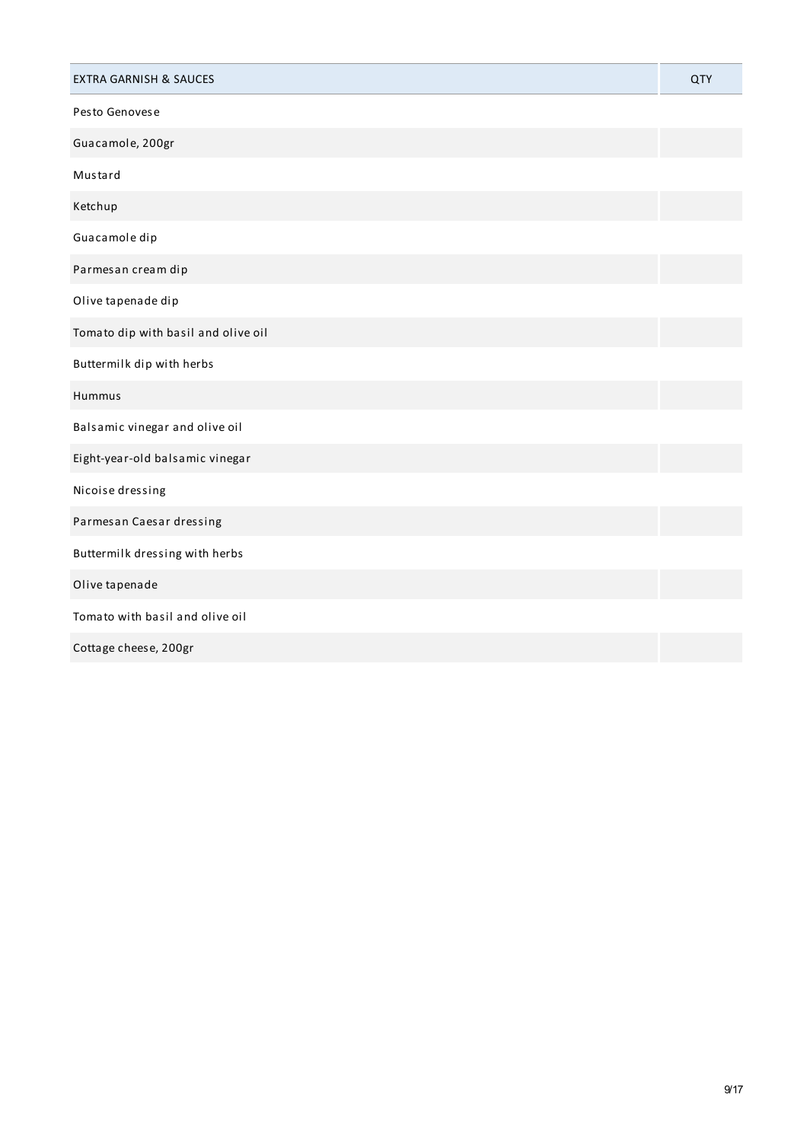| <b>EXTRA GARNISH &amp; SAUCES</b>   | QTY |
|-------------------------------------|-----|
| Pesto Genovese                      |     |
| Guacamole, 200gr                    |     |
| Mustard                             |     |
| Ketchup                             |     |
| Guacamole dip                       |     |
| Parmesan cream dip                  |     |
| Olive tapenade dip                  |     |
| Tomato dip with basil and olive oil |     |
| Buttermilk dip with herbs           |     |
| Hummus                              |     |
| Balsamic vinegar and olive oil      |     |
| Eight-year-old balsamic vinegar     |     |
| Nicoise dressing                    |     |
| Parmesan Caesar dressing            |     |
| Buttermilk dressing with herbs      |     |
| Olive tapenade                      |     |
| Tomato with basil and olive oil     |     |
| Cottage cheese, 200gr               |     |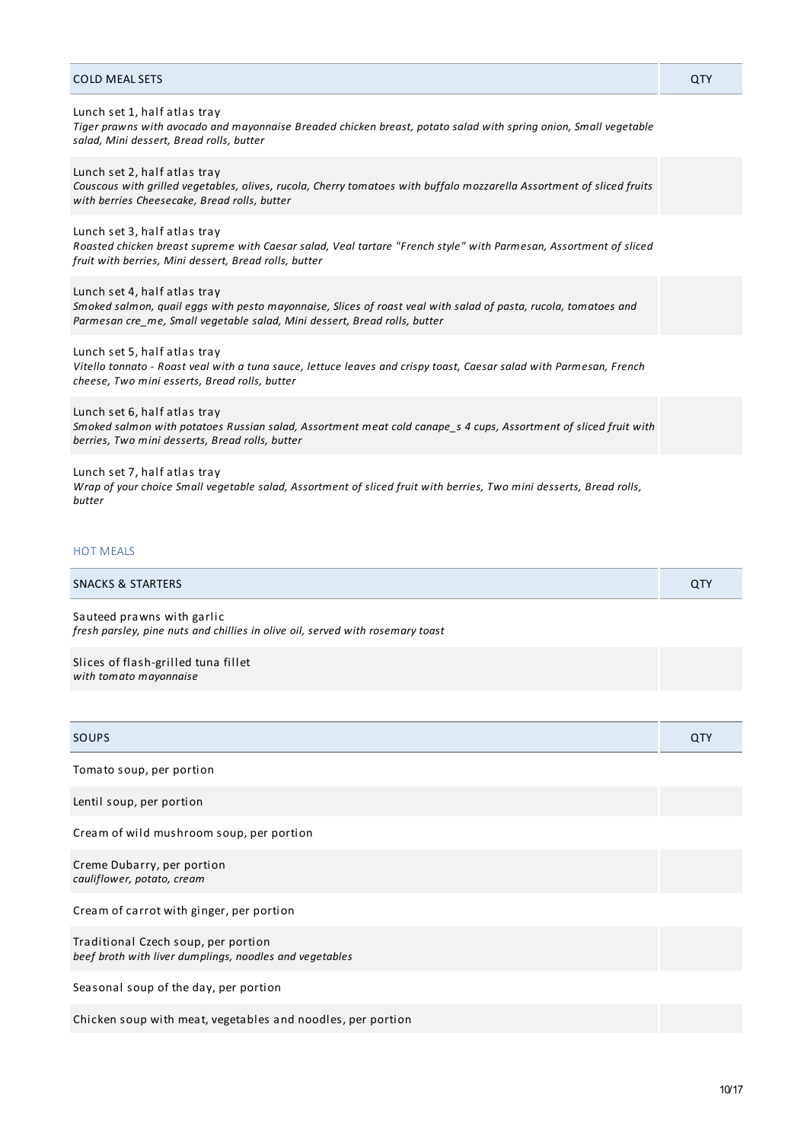| <b>COLD MEAL SETS</b>                                                                                                                                                                                                        | QTY |
|------------------------------------------------------------------------------------------------------------------------------------------------------------------------------------------------------------------------------|-----|
| Lunch set 1, half atlas tray<br>Tiger prawns with avocado and mayonnaise Breaded chicken breast, potato salad with spring onion, Small vegetable<br>salad, Mini dessert, Bread rolls, butter                                 |     |
| Lunch set 2, half atlas tray<br>Couscous with grilled vegetables, olives, rucola, Cherry tomatoes with buffalo mozzarella Assortment of sliced fruits<br>with berries Cheesecake, Bread rolls, butter                        |     |
| Lunch set 3, half atlas tray<br>Roasted chicken breast supreme with Caesar salad, Veal tartare "French style" with Parmesan, Assortment of sliced<br>fruit with berries, Mini dessert, Bread rolls, butter                   |     |
| Lunch set 4, half atlas tray<br>Smoked salmon, quail eggs with pesto mayonnaise, Slices of roast veal with salad of pasta, rucola, tomatoes and<br>Parmesan cre me, Small vegetable salad, Mini dessert, Bread rolls, butter |     |
| Lunch set 5, half atlas tray<br>Vitello tonnato - Roast veal with a tuna sauce, lettuce leaves and crispy toast, Caesar salad with Parmesan, French<br>cheese, Two mini esserts, Bread rolls, butter                         |     |
| Lunch set 6, half atlas tray<br>Smoked salmon with potatoes Russian salad, Assortment meat cold canape s 4 cups, Assortment of sliced fruit with<br>berries, Two mini desserts, Bread rolls, butter                          |     |
| Lunch set 7, half atlas tray                                                                                                                                                                                                 |     |

Wrap of your choice Small vegetable salad, Assortment of sliced fruit with berries, Two mini desserts, Bread rolls, *butter*

## HOT MEALS

| <b>SNACKS &amp; STARTERS</b> | u. |
|------------------------------|----|
|------------------------------|----|

Sauteed prawns with garlic *fresh parsley, pine nuts and chillies in olive oil, served with rosemary toast*

Slices of flash-grilled tuna fillet *with tomato mayonnaise*

| <b>SOUPS</b>                                                                                   | QTY |
|------------------------------------------------------------------------------------------------|-----|
| Tomato soup, per portion                                                                       |     |
| Lentil soup, per portion                                                                       |     |
| Cream of wild mushroom soup, per portion                                                       |     |
| Creme Dubarry, per portion<br>cauliflower, potato, cream                                       |     |
| Cream of carrot with ginger, per portion                                                       |     |
| Traditional Czech soup, per portion<br>beef broth with liver dumplings, noodles and vegetables |     |
| Seasonal soup of the day, per portion                                                          |     |
| Chicken soup with meat, vegetables and noodles, per portion                                    |     |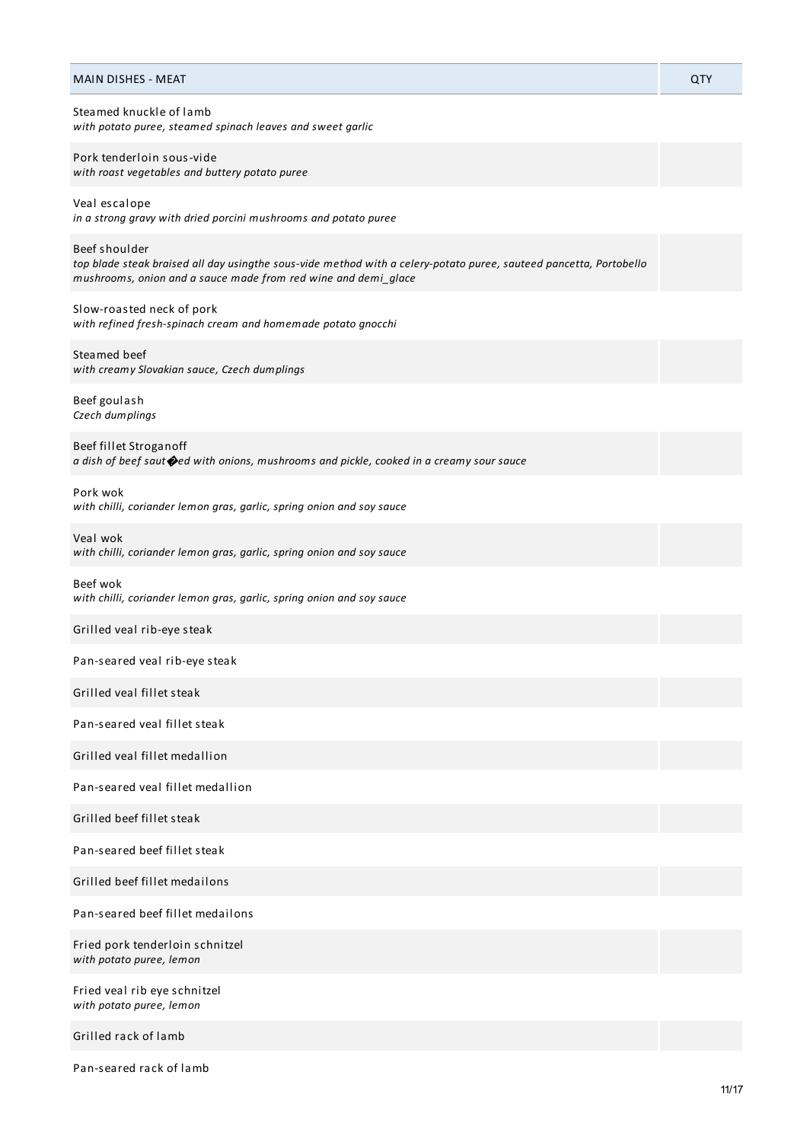| <b>MAIN DISHES - MEAT</b>                                                                                                                                                                             | QTY |
|-------------------------------------------------------------------------------------------------------------------------------------------------------------------------------------------------------|-----|
| Steamed knuckle of lamb<br>with potato puree, steamed spinach leaves and sweet garlic                                                                                                                 |     |
| Pork tenderloin sous-vide<br>with roast vegetables and buttery potato puree                                                                                                                           |     |
| Veal escalope<br>in a strong gravy with dried porcini mushrooms and potato puree                                                                                                                      |     |
| Beef shoulder<br>top blade steak braised all day usingthe sous-vide method with a celery-potato puree, sauteed pancetta, Portobello<br>mushrooms, onion and a sauce made from red wine and demi_glace |     |
| Slow-roasted neck of pork<br>with refined fresh-spinach cream and homemade potato gnocchi                                                                                                             |     |
| Steamed beef<br>with creamy Slovakian sauce, Czech dumplings                                                                                                                                          |     |
| Beef goulash<br>Czech dumplings                                                                                                                                                                       |     |
| Beef fillet Stroganoff<br>a dish of beef saut ped with onions, mushrooms and pickle, cooked in a creamy sour sauce                                                                                    |     |
| Pork wok<br>with chilli, coriander lemon gras, garlic, spring onion and soy sauce                                                                                                                     |     |
| Veal wok<br>with chilli, coriander lemon gras, garlic, spring onion and soy sauce                                                                                                                     |     |
| Beef wok<br>with chilli, coriander lemon gras, garlic, spring onion and soy sauce                                                                                                                     |     |
| Grilled veal rib-eye steak                                                                                                                                                                            |     |
| Pan-seared veal rib-eye steak                                                                                                                                                                         |     |
| Grilled veal fillet steak                                                                                                                                                                             |     |
| Pan-seared yeal fillet steak                                                                                                                                                                          |     |
| Grilled yeal fillet medallion                                                                                                                                                                         |     |
| Pan-seared yeal fillet medallion                                                                                                                                                                      |     |
| Grilled beef fillet steak                                                                                                                                                                             |     |
| Pan-seared beef fillet steak                                                                                                                                                                          |     |
| Grilled beef fillet medailons                                                                                                                                                                         |     |
| Pan-seared beef fillet medailons                                                                                                                                                                      |     |
| Fried pork tenderloin schnitzel<br>with potato puree, lemon                                                                                                                                           |     |
| Fried veal rib eye schnitzel<br>with potato puree, lemon                                                                                                                                              |     |
| Grilled rack of lamb                                                                                                                                                                                  |     |

Pan-seared rack of lamb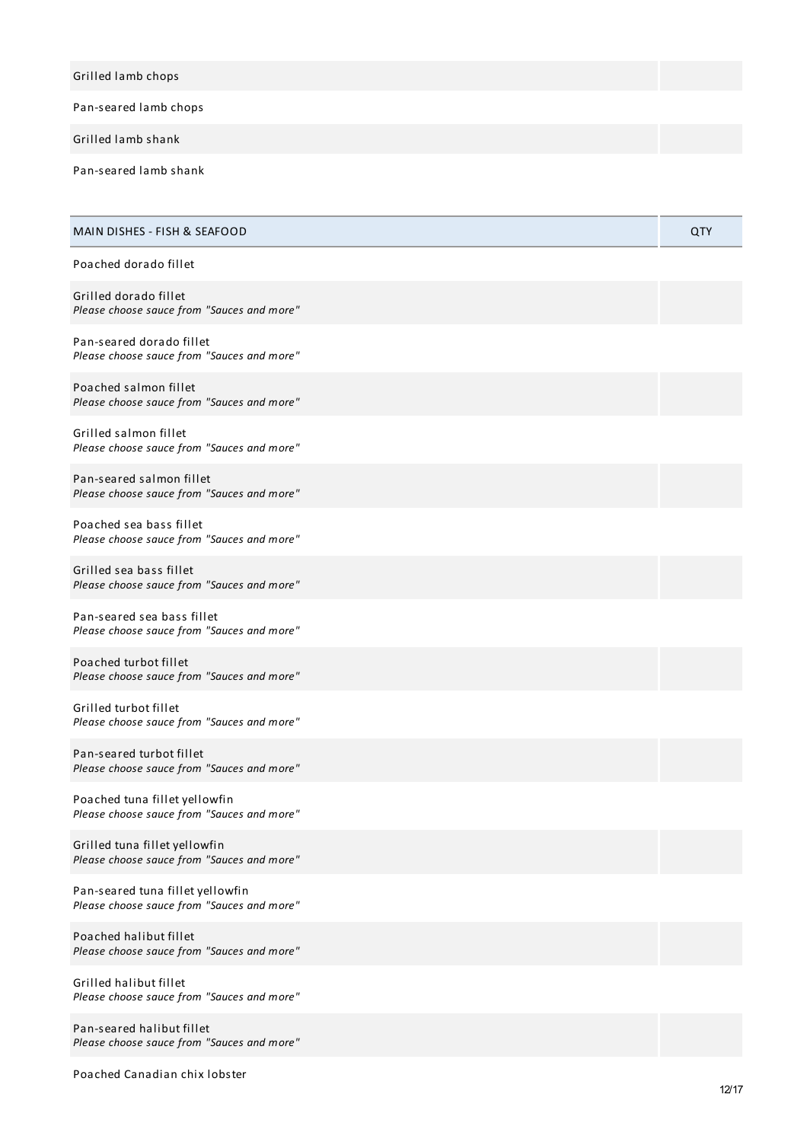| Grilled lamb chops    |  |
|-----------------------|--|
| Pan-seared lamb chops |  |
| Grilled lamb shank    |  |

Pan-seared lamb shank

| MAIN DISHES - FISH & SEAFOOD                                                   | QTY |
|--------------------------------------------------------------------------------|-----|
| Poached dorado fillet                                                          |     |
| Grilled dorado fillet<br>Please choose sauce from "Sauces and more"            |     |
| Pan-seared dorado fillet<br>Please choose sauce from "Sauces and more"         |     |
| Poached salmon fillet<br>Please choose sauce from "Sauces and more"            |     |
| Grilled salmon fillet<br>Please choose sauce from "Sauces and more"            |     |
| Pan-seared salmon fillet<br>Please choose sauce from "Sauces and more"         |     |
| Poached sea bass fillet<br>Please choose sauce from "Sauces and more"          |     |
| Grilled sea bass fillet<br>Please choose sauce from "Sauces and more"          |     |
| Pan-seared sea bass fillet<br>Please choose sauce from "Sauces and more"       |     |
| Poached turbot fillet<br>Please choose sauce from "Sauces and more"            |     |
| Grilled turbot fillet<br>Please choose sauce from "Sauces and more"            |     |
| Pan-seared turbot fillet<br>Please choose sauce from "Sauces and more"         |     |
| Poached tuna fillet yellowfin<br>Please choose sauce from "Sauces and more"    |     |
| Grilled tuna fillet yellowfin<br>Please choose sauce from "Sauces and more"    |     |
| Pan-seared tuna fillet yellowfin<br>Please choose sauce from "Sauces and more" |     |
| Poached halibut fillet<br>Please choose sauce from "Sauces and more"           |     |
| Grilled halibut fillet<br>Please choose sauce from "Sauces and more"           |     |

Pan-seared halibut fillet Please choose sauce from "Sauces and more"

Poached Canadian chix lobster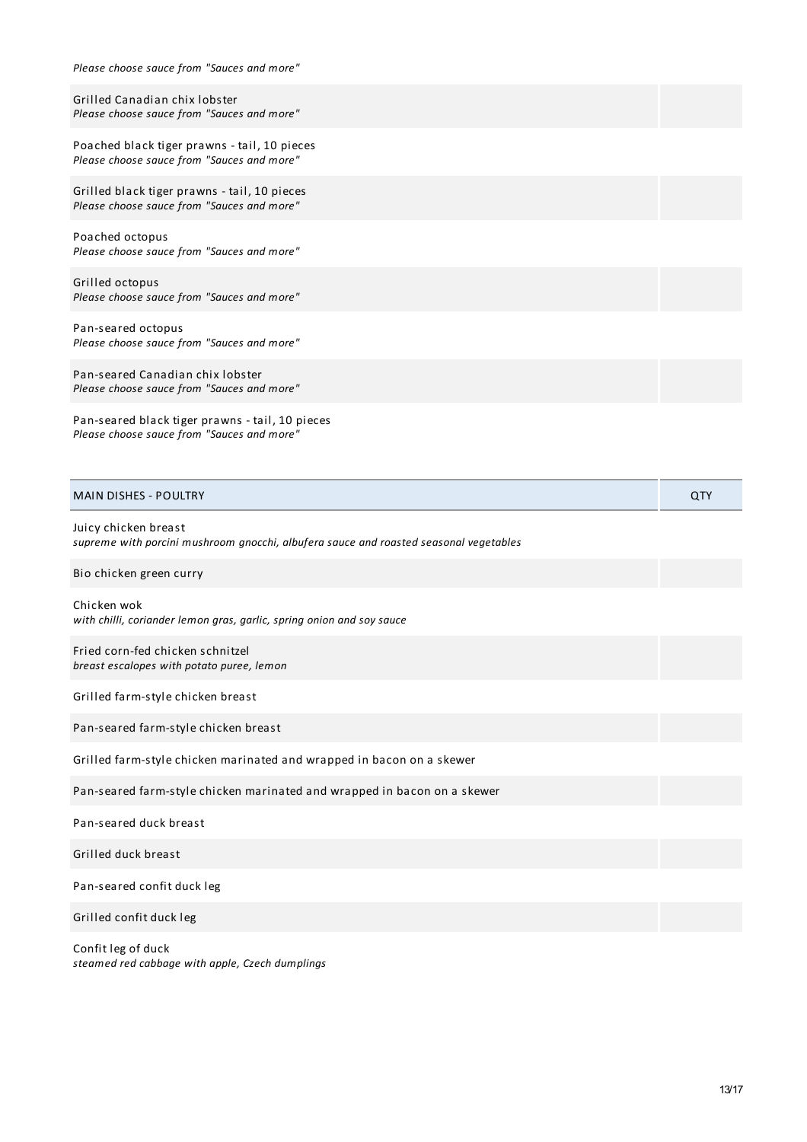| Please choose sauce from "Sauces and more"                                                                    |            |
|---------------------------------------------------------------------------------------------------------------|------------|
| Grilled Canadian chix lobster<br>Please choose sauce from "Sauces and more"                                   |            |
| Poached black tiger prawns - tail, 10 pieces<br>Please choose sauce from "Sauces and more"                    |            |
| Grilled black tiger prawns - tail, 10 pieces<br>Please choose sauce from "Sauces and more"                    |            |
| Poached octopus<br>Please choose sauce from "Sauces and more"                                                 |            |
| Grilled octopus<br>Please choose sauce from "Sauces and more"                                                 |            |
| Pan-seared octopus<br>Please choose sauce from "Sauces and more"                                              |            |
| Pan-seared Canadian chix lobster<br>Please choose sauce from "Sauces and more"                                |            |
| Pan-seared black tiger prawns - tail, 10 pieces<br>Please choose sauce from "Sauces and more"                 |            |
|                                                                                                               |            |
| <b>MAIN DISHES - POULTRY</b>                                                                                  | <b>QTY</b> |
| Juicy chicken breast<br>supreme with porcini mushroom gnocchi, albufera sauce and roasted seasonal vegetables |            |
| Bio chicken green curry                                                                                       |            |
| Chicken wok<br>with chilli, coriander lemon gras, garlic, spring onion and soy sauce                          |            |
| Fried corn-fed chicken schnitzel<br>breast escalopes with potato puree, lemon                                 |            |
| Grilled farm-style chicken breast                                                                             |            |
| Pan-seared farm-style chicken breast                                                                          |            |
| Grilled farm-style chicken marinated and wrapped in bacon on a skewer                                         |            |
| Pan-seared farm-style chicken marinated and wrapped in bacon on a skewer                                      |            |
| Pan-seared duck breast                                                                                        |            |
| Grilled duck breast                                                                                           |            |
| Pan-seared confit duck leg                                                                                    |            |

Confit leg of duck *steamed red cabbage with apple, Czech dumplings*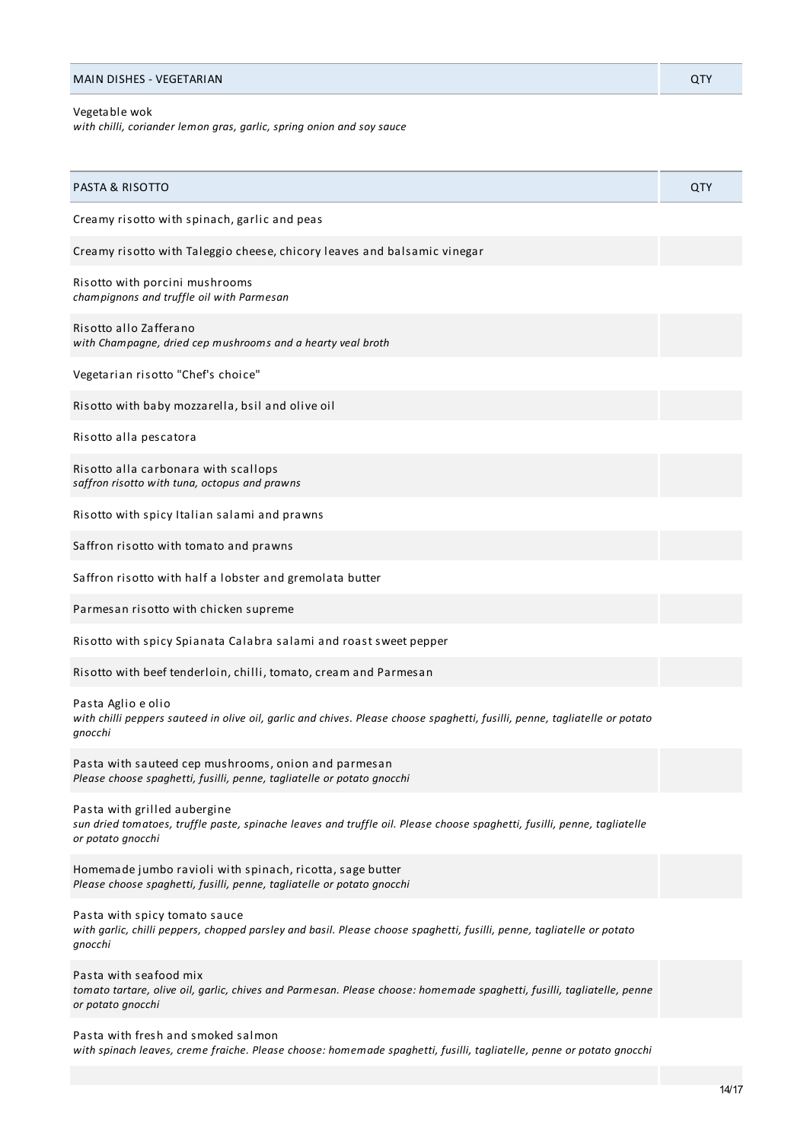| with chilli, coriander lemon gras, garlic, spring onion and soy sauce                                                                                                         |     |
|-------------------------------------------------------------------------------------------------------------------------------------------------------------------------------|-----|
| <b>PASTA &amp; RISOTTO</b>                                                                                                                                                    | QTY |
| Creamy risotto with spinach, garlic and peas                                                                                                                                  |     |
| Creamy risotto with Taleggio cheese, chicory leaves and balsamic vinegar                                                                                                      |     |
| Risotto with porcini mushrooms<br>champignons and truffle oil with Parmesan                                                                                                   |     |
| Risotto allo Zafferano<br>with Champagne, dried cep mushrooms and a hearty veal broth                                                                                         |     |
| Vegetarian risotto "Chef's choice"                                                                                                                                            |     |
| Risotto with baby mozzarella, bsil and olive oil                                                                                                                              |     |
| Risotto alla pescatora                                                                                                                                                        |     |
| Risotto alla carbonara with scallops<br>saffron risotto with tuna, octopus and prawns                                                                                         |     |
| Risotto with spicy Italian salami and prawns                                                                                                                                  |     |
| Saffron risotto with tomato and prawns                                                                                                                                        |     |
| Saffron risotto with half a lobster and gremolata butter                                                                                                                      |     |
| Parmesan risotto with chicken supreme                                                                                                                                         |     |
| Risotto with spicy Spianata Calabra salami and roast sweet pepper                                                                                                             |     |
| Risotto with beef tenderloin, chilli, tomato, cream and Parmesan                                                                                                              |     |
| Pasta Aglio e olio<br>with chilli peppers sauteed in olive oil, garlic and chives. Please choose spaghetti, fusilli, penne, tagliatelle or potato<br>gnocchi                  |     |
| Pasta with sauteed cep mushrooms, onion and parmesan<br>Please choose spaghetti, fusilli, penne, tagliatelle or potato gnocchi                                                |     |
| Pasta with grilled aubergine<br>sun dried tomatoes, truffle paste, spinache leaves and truffle oil. Please choose spaghetti, fusilli, penne, tagliatelle<br>or potato gnocchi |     |
| Homemade jumbo ravioli with spinach, ricotta, sage butter<br>Please choose spaghetti, fusilli, penne, tagliatelle or potato gnocchi                                           |     |
| Pasta with spicy tomato sauce<br>with garlic, chilli peppers, chopped parsley and basil. Please choose spaghetti, fusilli, penne, tagliatelle or potato<br>gnocchi            |     |
| Pasta with seafood mix<br>tomato tartare, olive oil, garlic, chives and Parmesan. Please choose: homemade spaghetti, fusilli, tagliatelle, penne<br>or potato gnocchi         |     |

MAIN DISHES - VEGETARIAN QTY

Pasta with fresh and smoked salmon

Vegetable wok

*with spinach leaves, creme fraiche. Please choose: homemade spaghetti, fusilli, tagliatelle, penne or potato gnocchi*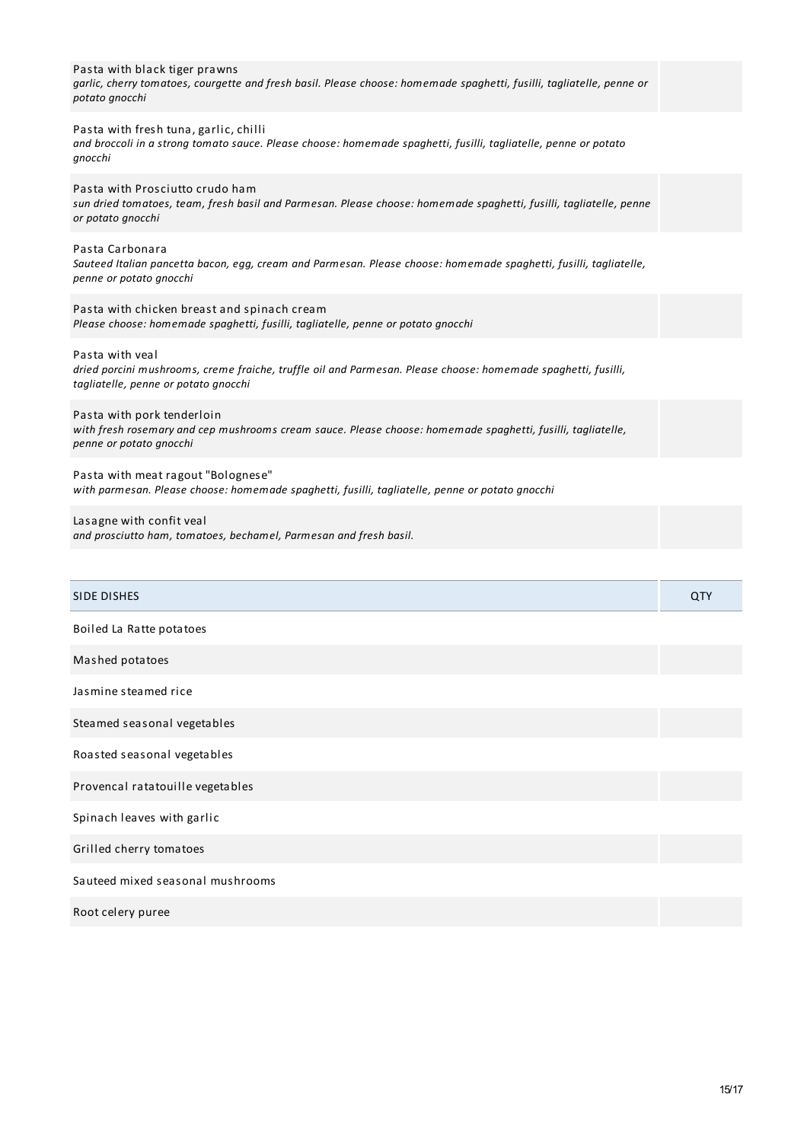| Pasta with black tiger prawns<br>garlic, cherry tomatoes, courgette and fresh basil. Please choose: homemade spaghetti, fusilli, tagliatelle, penne or<br>potato gnocchi   |     |
|----------------------------------------------------------------------------------------------------------------------------------------------------------------------------|-----|
| Pasta with fresh tuna, garlic, chilli<br>and broccoli in a strong tomato sauce. Please choose: homemade spaghetti, fusilli, tagliatelle, penne or potato<br>gnocchi        |     |
| Pasta with Prosciutto crudo ham<br>sun dried tomatoes, team, fresh basil and Parmesan. Please choose: homemade spaghetti, fusilli, tagliatelle, penne<br>or potato gnocchi |     |
| Pasta Carbonara<br>Sauteed Italian pancetta bacon, egg, cream and Parmesan. Please choose: homemade spaghetti, fusilli, tagliatelle,<br>penne or potato gnocchi            |     |
| Pasta with chicken breast and spinach cream<br>Please choose: homemade spaghetti, fusilli, tagliatelle, penne or potato gnocchi                                            |     |
| Pasta with yeal<br>dried porcini mushrooms, creme fraiche, truffle oil and Parmesan. Please choose: homemade spaghetti, fusilli,<br>tagliatelle, penne or potato gnocchi   |     |
| Pasta with pork tenderloin<br>with fresh rosemary and cep mushrooms cream sauce. Please choose: homemade spaghetti, fusilli, tagliatelle,<br>penne or potato gnocchi       |     |
| Pasta with meat ragout "Bolognese"<br>with parmesan. Please choose: homemade spaghetti, fusilli, tagliatelle, penne or potato gnocchi                                      |     |
| Lasagne with confit veal<br>and prosciutto ham, tomatoes, bechamel, Parmesan and fresh basil.                                                                              |     |
|                                                                                                                                                                            |     |
| SIDE DISHES                                                                                                                                                                | QTY |
| Boiled La Ratte potatoes                                                                                                                                                   |     |
| Mashed potatoes                                                                                                                                                            |     |
| Jasmine steamed rice                                                                                                                                                       |     |
| Steamed seasonal vegetables                                                                                                                                                |     |
| Roasted seasonal vegetables                                                                                                                                                |     |
| Provencal ratatouille vegetables                                                                                                                                           |     |
| Spinach leaves with garlic                                                                                                                                                 |     |
| Grilled cherry tomatoes                                                                                                                                                    |     |
| Sauteed mixed seasonal mushrooms                                                                                                                                           |     |
|                                                                                                                                                                            |     |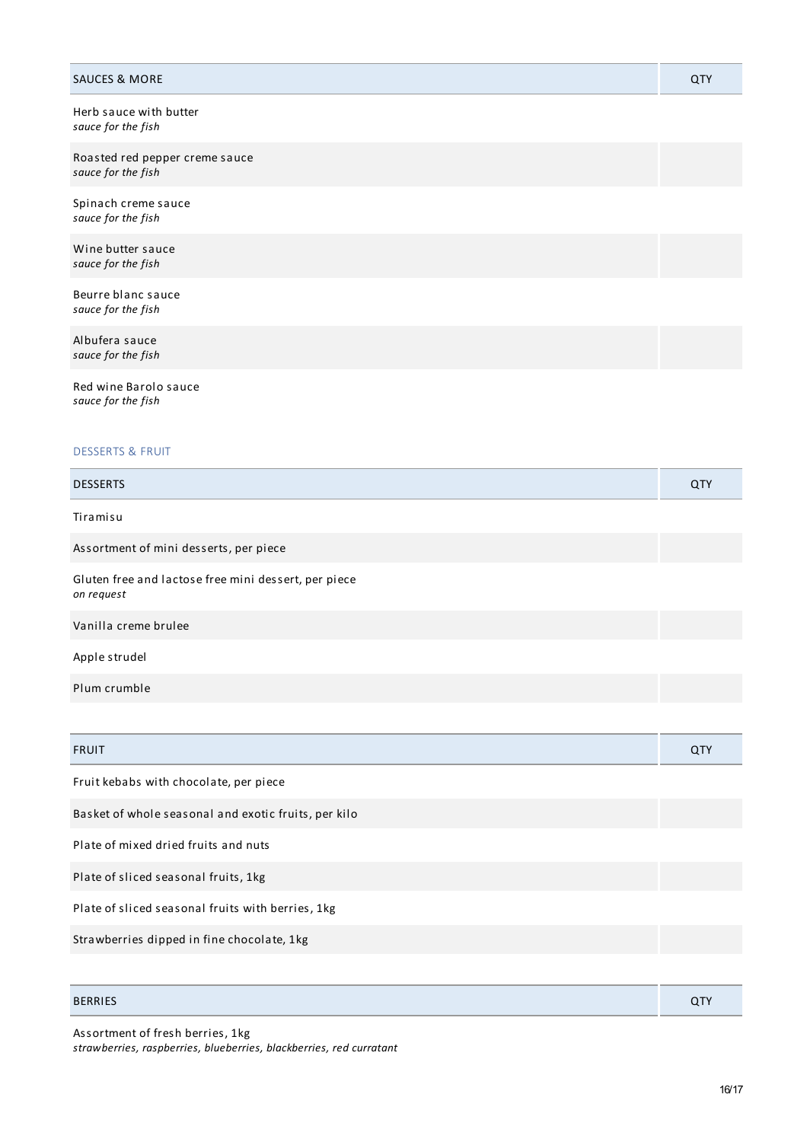| <b>SAUCES &amp; MORE</b>                                           | QTY |
|--------------------------------------------------------------------|-----|
| Herb sauce with butter<br>sauce for the fish                       |     |
| Roasted red pepper creme sauce<br>sauce for the fish               |     |
| Spinach creme sauce<br>sauce for the fish                          |     |
| Wine butter sauce<br>sauce for the fish                            |     |
| Beurre blanc sauce<br>sauce for the fish                           |     |
| Albufera sauce<br>sauce for the fish                               |     |
| Red wine Barolo sauce<br>sauce for the fish                        |     |
| <b>DESSERTS &amp; FRUIT</b>                                        |     |
| <b>DESSERTS</b>                                                    | QTY |
| Tiramisu                                                           |     |
| Assortment of mini desserts, per piece                             |     |
| Gluten free and lactose free mini dessert, per piece<br>on request |     |
| Vanilla creme brulee                                               |     |
| Apple strudel                                                      |     |
| Plum crumble                                                       |     |
|                                                                    |     |
| <b>FRUIT</b>                                                       | QTY |
| Fruit kebabs with chocolate, per piece                             |     |
| Basket of whole seasonal and exotic fruits, per kilo               |     |
| Plate of mixed dried fruits and nuts                               |     |
| Plate of sliced seasonal fruits, 1kg                               |     |
| Plate of sliced seasonal fruits with berries, 1kg                  |     |
| Strawberries dipped in fine chocolate, 1kg                         |     |
|                                                                    |     |

BERRIES QTY

## Assortment of fresh berries, 1kg

*strawberries, raspberries, blueberries, blackberries, red curratant*